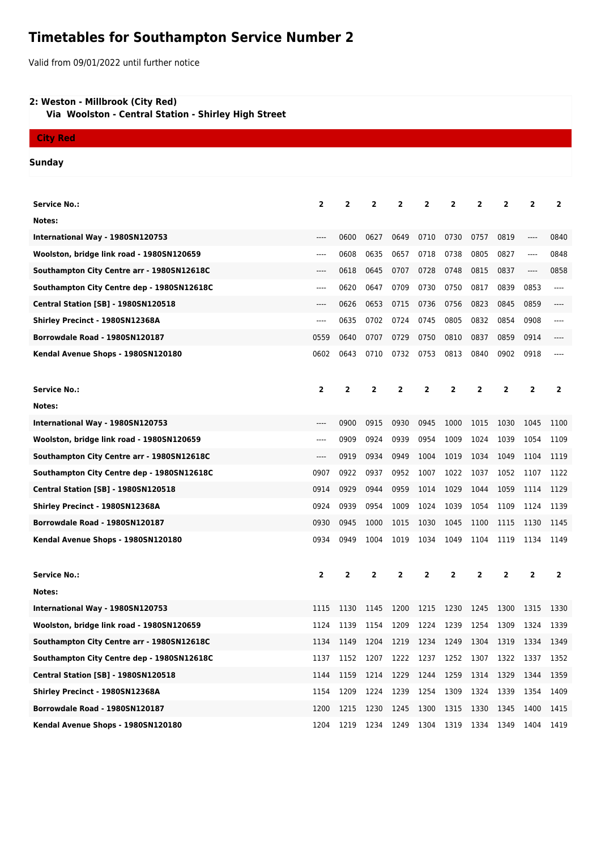## **Timetables for Southampton Service Number 2**

Valid from 09/01/2022 until further notice

## **2: Weston - Millbrook (City Red)**

 **Via Woolston - Central Station - Shirley High Street**

## **City Red**

**Sunday**

| <b>Service No.:</b>                        | $\mathbf{2}$   | 2              | 2              | 2              | 2              | 2    | 2              | 2            | 2              | $\overline{2}$          |
|--------------------------------------------|----------------|----------------|----------------|----------------|----------------|------|----------------|--------------|----------------|-------------------------|
| Notes:                                     |                |                |                |                |                |      |                |              |                |                         |
| International Way - 1980SN120753           | ----           | 0600           | 0627           | 0649           | 0710           | 0730 | 0757           | 0819         | ----           | 0840                    |
| Woolston, bridge link road - 1980SN120659  | ----           | 0608           | 0635           | 0657           | 0718           | 0738 | 0805           | 0827         | ----           | 0848                    |
| Southampton City Centre arr - 1980SN12618C | ----           | 0618           | 0645           | 0707           | 0728           | 0748 | 0815           | 0837         | $\cdots$       | 0858                    |
| Southampton City Centre dep - 1980SN12618C | ----           | 0620           | 0647           | 0709           | 0730           | 0750 | 0817           | 0839         | 0853           | ----                    |
| <b>Central Station [SB] - 1980SN120518</b> | ----           | 0626           | 0653           | 0715           | 0736           | 0756 | 0823           | 0845         | 0859           | ----                    |
| Shirley Precinct - 1980SN12368A            | ----           | 0635           | 0702           | 0724           | 0745           | 0805 | 0832           | 0854         | 0908           | ----                    |
| Borrowdale Road - 1980SN120187             | 0559           | 0640           | 0707           | 0729           | 0750           | 0810 | 0837           | 0859         | 0914           |                         |
| Kendal Avenue Shops - 1980SN120180         | 0602           | 0643           | 0710           | 0732           | 0753           | 0813 | 0840           | 0902         | 0918           | ----                    |
|                                            |                |                |                |                |                |      |                |              |                |                         |
| <b>Service No.:</b>                        | $\overline{2}$ | $\overline{2}$ | $\overline{2}$ | $\mathbf{2}$   | $\overline{2}$ | 2    | $\overline{2}$ | $\mathbf{2}$ | $\overline{2}$ | $\overline{2}$          |
| Notes:                                     |                |                |                |                |                |      |                |              |                |                         |
| International Way - 1980SN120753           | ----           | 0900           | 0915           | 0930           | 0945           | 1000 | 1015           | 1030         | 1045           | 1100                    |
| Woolston, bridge link road - 1980SN120659  | $---$          | 0909           | 0924           | 0939           | 0954           | 1009 | 1024           | 1039         | 1054           | 1109                    |
| Southampton City Centre arr - 1980SN12618C | $---$          | 0919           | 0934           | 0949           | 1004           | 1019 | 1034           | 1049         | 1104           | 1119                    |
| Southampton City Centre dep - 1980SN12618C | 0907           | 0922           | 0937           | 0952           | 1007           | 1022 | 1037           | 1052         | 1107           | 1122                    |
| Central Station [SB] - 1980SN120518        | 0914           | 0929           | 0944           | 0959           | 1014           | 1029 | 1044           | 1059         | 1114           | 1129                    |
| Shirley Precinct - 1980SN12368A            | 0924           | 0939           | 0954           | 1009           | 1024           | 1039 | 1054           | 1109         | 1124           | 1139                    |
| Borrowdale Road - 1980SN120187             | 0930           | 0945           | 1000           | 1015           | 1030           | 1045 | 1100           | 1115         | 1130           | 1145                    |
| Kendal Avenue Shops - 1980SN120180         | 0934           | 0949           | 1004           | 1019           | 1034           | 1049 | 1104           | 1119         | 1134           | 1149                    |
|                                            |                |                |                |                |                |      |                |              |                |                         |
| <b>Service No.:</b>                        | $\mathbf{2}$   | 2              | $\overline{2}$ | 2              | $\overline{2}$ | 2    | 2              | 2            | $\overline{2}$ | $\overline{\mathbf{2}}$ |
| Notes:                                     |                |                |                |                |                |      |                |              |                |                         |
| International Way - 1980SN120753           | 1115           | 1130           | 1145           | 1200           | 1215           | 1230 | 1245           | 1300         | 1315           | 1330                    |
| Woolston, bridge link road - 1980SN120659  | 1124           | 1139           | 1154           | 1209           | 1224           | 1239 | 1254           | 1309         | 1324           | 1339                    |
| Southampton City Centre arr - 1980SN12618C | 1134           | 1149           | 1204           | 1219 1234 1249 |                |      | 1304           | 1319 1334    |                | 1349                    |
| Southampton City Centre dep - 1980SN12618C | 1137           | 1152           | 1207           | 1222           | 1237           | 1252 | 1307           | 1322         | 1337           | 1352                    |
| <b>Central Station [SB] - 1980SN120518</b> | 1144           | 1159           | 1214           | 1229           | 1244           | 1259 | 1314           | 1329         | 1344           | 1359                    |
| Shirley Precinct - 1980SN12368A            | 1154           | 1209           | 1224           | 1239           | 1254           | 1309 | 1324           | 1339         | 1354           | 1409                    |
| Borrowdale Road - 1980SN120187             | 1200           | 1215           | 1230           | 1245           | 1300           | 1315 | 1330           | 1345         | 1400           | 1415                    |
| Kendal Avenue Shops - 1980SN120180         | 1204           | 1219           | 1234           | 1249           | 1304           | 1319 | 1334           | 1349         | 1404           | 1419                    |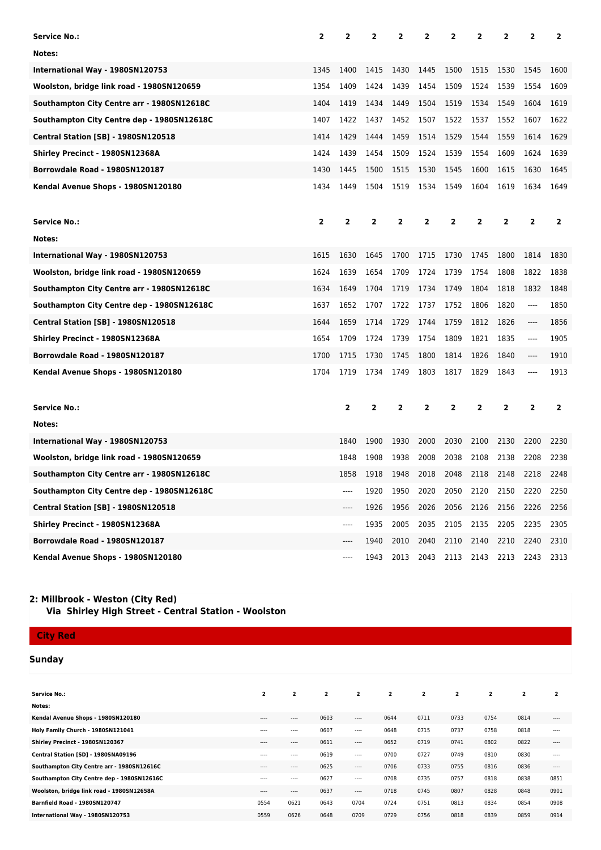| Service No.:                               | 2              | 2    | 2              | 2              | 2              | 2              | 2            | 2            | 2            | 2              |
|--------------------------------------------|----------------|------|----------------|----------------|----------------|----------------|--------------|--------------|--------------|----------------|
| Notes:                                     |                |      |                |                |                |                |              |              |              |                |
| International Way - 1980SN120753           | 1345           | 1400 | 1415           | 1430           | 1445           | 1500           | 1515         | 1530         | 1545         | 1600           |
| Woolston, bridge link road - 1980SN120659  | 1354           | 1409 | 1424           | 1439           | 1454           | 1509           | 1524         | 1539         | 1554         | 1609           |
| Southampton City Centre arr - 1980SN12618C | 1404           | 1419 | 1434           | 1449           | 1504           | 1519           | 1534         | 1549         | 1604         | 1619           |
| Southampton City Centre dep - 1980SN12618C | 1407           | 1422 | 1437           | 1452           | 1507           | 1522           | 1537         | 1552         | 1607         | 1622           |
| <b>Central Station [SB] - 1980SN120518</b> | 1414           | 1429 | 1444           | 1459           | 1514           | 1529           | 1544         | 1559         | 1614         | 1629           |
| Shirley Precinct - 1980SN12368A            | 1424           | 1439 | 1454           | 1509           | 1524           | 1539           | 1554         | 1609         | 1624         | 1639           |
| Borrowdale Road - 1980SN120187             | 1430           | 1445 | 1500           | 1515           | 1530           | 1545           | 1600         | 1615         | 1630         | 1645           |
| Kendal Avenue Shops - 1980SN120180         | 1434           | 1449 | 1504           | 1519           | 1534           | 1549           | 1604         | 1619         | 1634         | 1649           |
|                                            |                |      |                |                |                |                |              |              |              |                |
| <b>Service No.:</b>                        | $\overline{2}$ | 2    | 2              | 2              | 2              | 2              | $\mathbf{2}$ | 2            | 2            | 2              |
| Notes:                                     |                |      |                |                |                |                |              |              |              |                |
| International Way - 1980SN120753           | 1615           | 1630 | 1645           | 1700           | 1715           | 1730           | 1745         | 1800         | 1814         | 1830           |
| Woolston, bridge link road - 1980SN120659  | 1624           | 1639 | 1654           | 1709           | 1724           | 1739           | 1754         | 1808         | 1822         | 1838           |
| Southampton City Centre arr - 1980SN12618C | 1634           | 1649 | 1704           | 1719           | 1734           | 1749           | 1804         | 1818         | 1832         | 1848           |
| Southampton City Centre dep - 1980SN12618C | 1637           | 1652 | 1707           | 1722           | 1737           | 1752           | 1806         | 1820         | ----         | 1850           |
| <b>Central Station [SB] - 1980SN120518</b> | 1644           | 1659 | 1714           | 1729           | 1744           | 1759           | 1812         | 1826         | ----         | 1856           |
| Shirley Precinct - 1980SN12368A            | 1654           | 1709 | 1724           | 1739           | 1754           | 1809           | 1821         | 1835         | ----         | 1905           |
| Borrowdale Road - 1980SN120187             | 1700           | 1715 | 1730           | 1745           | 1800           | 1814           | 1826         | 1840         | ----         | 1910           |
| Kendal Avenue Shops - 1980SN120180         | 1704           | 1719 | 1734           | 1749           | 1803           | 1817           | 1829         | 1843         | ----         | 1913           |
|                                            |                |      |                |                |                |                |              |              |              |                |
| <b>Service No.:</b>                        |                | 2    | $\overline{2}$ | $\overline{2}$ | $\overline{2}$ | $\overline{2}$ | 2            | $\mathbf{2}$ | $\mathbf{2}$ | $\overline{2}$ |
| Notes:                                     |                |      |                |                |                |                |              |              |              |                |
| International Way - 1980SN120753           |                | 1840 | 1900           | 1930           | 2000           | 2030           | 2100         | 2130         | 2200         | 2230           |
| Woolston, bridge link road - 1980SN120659  |                | 1848 | 1908           | 1938           | 2008           | 2038           | 2108         | 2138         | 2208         | 2238           |
| Southampton City Centre arr - 1980SN12618C |                | 1858 | 1918           | 1948           | 2018           | 2048           | 2118         | 2148         | 2218         | 2248           |
| Southampton City Centre dep - 1980SN12618C |                |      | 1920           | 1950           | 2020           | 2050           | 2120         | 2150         | 2220         | 2250           |
| <b>Central Station [SB] - 1980SN120518</b> |                | ---- | 1926           | 1956           | 2026           | 2056           | 2126         | 2156         | 2226         | 2256           |
| Shirley Precinct - 1980SN12368A            |                | ---- | 1935           | 2005           | 2035           | 2105           | 2135         | 2205         | 2235         | 2305           |
| Borrowdale Road - 1980SN120187             |                | ---- | 1940           | 2010           | 2040           | 2110           | 2140         | 2210         | 2240         | 2310           |
| Kendal Avenue Shops - 1980SN120180         |                | ---- | 1943           | 2013           | 2043           | 2113           | 2143         | 2213         | 2243         | 2313           |

## **2: Millbrook - Weston (City Red) Via Shirley High Street - Central Station - Woolston**

**City Red**

**Sunday**

| <b>Service No.:</b>                        | $\overline{2}$ | $\overline{2}$ | $\overline{2}$ | $\overline{2}$ | $\overline{2}$ | $\overline{2}$ | $\overline{2}$ | $\overline{2}$ | $\overline{2}$ | $\overline{2}$ |
|--------------------------------------------|----------------|----------------|----------------|----------------|----------------|----------------|----------------|----------------|----------------|----------------|
| Notes:                                     |                |                |                |                |                |                |                |                |                |                |
| Kendal Avenue Shops - 1980SN120180         | $- - - -$      | $- - - -$      | 0603           | $- - - -$      | 0644           | 0711           | 0733           | 0754           | 0814           | $- - - -$      |
| Holy Family Church - 1980SN121041          | $- - - -$      | $- - - -$      | 0607           | $\cdots$       | 0648           | 0715           | 0737           | 0758           | 0818           | ----           |
| Shirley Precinct - 1980SN120367            | $- - - -$      | 1.11           | 0611           | 1.11           | 0652           | 0719           | 0741           | 0802           | 0822           | $- - - -$      |
| Central Station [SD] - 1980SNA09196        | $- - - -$      | $- - - -$      | 0619           | 1.11           | 0700           | 0727           | 0749           | 0810           | 0830           | ----           |
| Southampton City Centre arr - 1980SN12616C | $- - - -$      | $\cdots$       | 0625           | $---$          | 0706           | 0733           | 0755           | 0816           | 0836           | $- - - -$      |
| Southampton City Centre dep - 1980SN12616C | $- - - -$      | $- - - -$      | 0627           | $\cdots$       | 0708           | 0735           | 0757           | 0818           | 0838           | 0851           |
| Woolston, bridge link road - 1980SN12658A  | $- - - -$      | $\cdots$       | 0637           | $- - - -$      | 0718           | 0745           | 0807           | 0828           | 0848           | 0901           |
| <b>Barnfield Road - 1980SN120747</b>       | 0554           | 0621           | 0643           | 0704           | 0724           | 0751           | 0813           | 0834           | 0854           | 0908           |
| International Way - 1980SN120753           | 0559           | 0626           | 0648           | 0709           | 0729           | 0756           | 0818           | 0839           | 0859           | 0914           |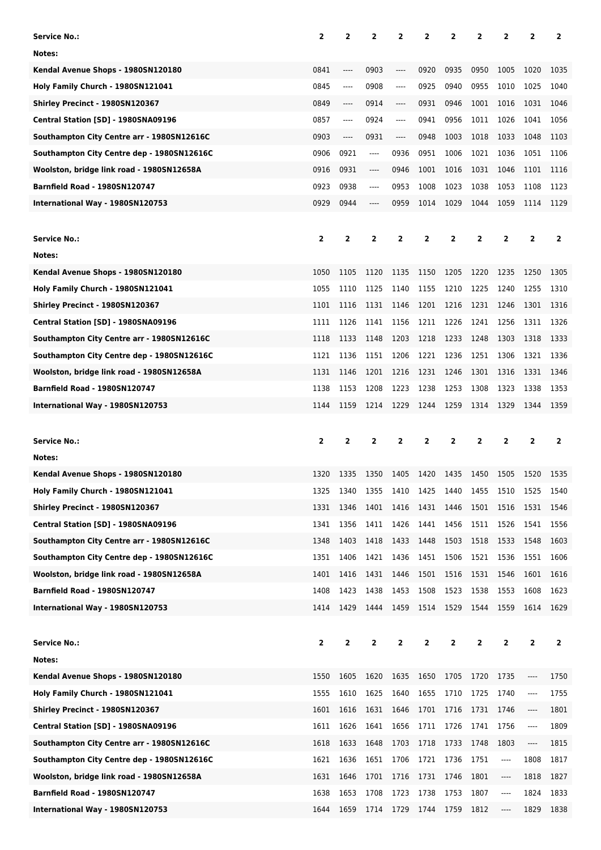| Service No.:                               | $\overline{2}$ | 2                       | $\overline{2}$ | 2        | 2    | 2                       | 2                       | 2                             | 2                             | $\overline{2}$ |
|--------------------------------------------|----------------|-------------------------|----------------|----------|------|-------------------------|-------------------------|-------------------------------|-------------------------------|----------------|
| Notes:                                     |                |                         |                |          |      |                         |                         |                               |                               |                |
| Kendal Avenue Shops - 1980SN120180         | 0841           | $\cdots$                | 0903           | ----     | 0920 | 0935                    | 0950                    | 1005                          | 1020                          | 1035           |
| Holy Family Church - 1980SN121041          | 0845           | ----                    | 0908           | ----     | 0925 | 0940                    | 0955                    | 1010                          | 1025                          | 1040           |
| Shirley Precinct - 1980SN120367            | 0849           | ----                    | 0914           | ----     | 0931 | 0946                    | 1001                    | 1016                          | 1031                          | 1046           |
| Central Station [SD] - 1980SNA09196        | 0857           | ----                    | 0924           | $\cdots$ | 0941 | 0956                    | 1011                    | 1026                          | 1041                          | 1056           |
| Southampton City Centre arr - 1980SN12616C | 0903           | ----                    | 0931           | ----     | 0948 | 1003                    | 1018                    | 1033                          | 1048                          | 1103           |
| Southampton City Centre dep - 1980SN12616C | 0906           | 0921                    | ----           | 0936     | 0951 | 1006                    | 1021                    | 1036                          | 1051                          | 1106           |
| Woolston, bridge link road - 1980SN12658A  | 0916           | 0931                    | ----           | 0946     | 1001 | 1016                    | 1031                    | 1046                          | 1101                          | 1116           |
| <b>Barnfield Road - 1980SN120747</b>       | 0923           | 0938                    | ----           | 0953     | 1008 | 1023                    | 1038                    | 1053                          | 1108                          | 1123           |
|                                            | 0929           | 0944                    |                | 0959     | 1014 | 1029                    | 1044                    | 1059                          | 1114                          | 1129           |
| International Way - 1980SN120753           |                |                         | ----           |          |      |                         |                         |                               |                               |                |
|                                            |                |                         |                |          |      |                         |                         |                               |                               |                |
| <b>Service No.:</b>                        | 2              | $\overline{\mathbf{2}}$ | 2              | 2        | 2    | $\overline{\mathbf{2}}$ | 2                       | $\overline{2}$                | 2                             | $\overline{2}$ |
| Notes:                                     |                |                         |                |          |      |                         |                         |                               |                               |                |
| Kendal Avenue Shops - 1980SN120180         | 1050           | 1105                    | 1120           | 1135     | 1150 | 1205                    | 1220                    | 1235                          | 1250                          | 1305           |
| Holy Family Church - 1980SN121041          | 1055           | 1110                    | 1125           | 1140     | 1155 | 1210                    | 1225                    | 1240                          | 1255                          | 1310           |
| Shirley Precinct - 1980SN120367            | 1101           | 1116                    | 1131           | 1146     | 1201 | 1216                    | 1231                    | 1246                          | 1301                          | 1316           |
| Central Station [SD] - 1980SNA09196        | 1111           | 1126                    | 1141           | 1156     | 1211 | 1226                    | 1241                    | 1256                          | 1311                          | 1326           |
| Southampton City Centre arr - 1980SN12616C | 1118           | 1133                    | 1148           | 1203     | 1218 | 1233                    | 1248                    | 1303                          | 1318                          | 1333           |
| Southampton City Centre dep - 1980SN12616C | 1121           | 1136                    | 1151           | 1206     | 1221 | 1236                    | 1251                    | 1306                          | 1321                          | 1336           |
| Woolston, bridge link road - 1980SN12658A  | 1131           | 1146                    | 1201           | 1216     | 1231 | 1246                    | 1301                    | 1316                          | 1331                          | 1346           |
| <b>Barnfield Road - 1980SN120747</b>       | 1138           | 1153                    | 1208           | 1223     | 1238 | 1253                    | 1308                    | 1323                          | 1338                          | 1353           |
| International Way - 1980SN120753           | 1144           | 1159                    | 1214           | 1229     | 1244 | 1259                    | 1314                    | 1329                          | 1344                          | 1359           |
|                                            |                |                         |                |          |      |                         |                         |                               |                               |                |
|                                            |                |                         |                |          |      |                         |                         |                               |                               |                |
| <b>Service No.:</b>                        | 2              | 2                       | $\overline{2}$ | 2        | 2    | $\mathbf{2}$            | 2                       | $\overline{2}$                | $\overline{2}$                | $\overline{2}$ |
| Notes:                                     |                |                         |                |          |      |                         |                         |                               |                               |                |
| Kendal Avenue Shops - 1980SN120180         | 1320           | 1335                    | 1350           | 1405     | 1420 | 1435                    | 1450                    | 1505                          | 1520                          | 1535           |
| Holy Family Church - 1980SN121041          | 1325           | 1340                    | 1355           | 1410     | 1425 | 1440                    | 1455                    | 1510                          | 1525                          | 1540           |
| Shirley Precinct - 1980SN120367            | 1331           | 1346                    | 1401           | 1416     | 1431 | 1446                    | 1501                    | 1516                          | 1531                          | 1546           |
| Central Station [SD] - 1980SNA09196        | 1341           | 1356                    | 1411           | 1426     | 1441 | 1456                    | 1511                    | 1526                          | 1541                          | 1556           |
| Southampton City Centre arr - 1980SN12616C | 1348           | 1403                    | 1418           | 1433     | 1448 | 1503                    | 1518                    | 1533                          | 1548                          | 1603           |
| Southampton City Centre dep - 1980SN12616C | 1351           | 1406                    | 1421           | 1436     | 1451 | 1506                    | 1521                    | 1536                          | 1551                          | 1606           |
| Woolston, bridge link road - 1980SN12658A  | 1401           | 1416                    | 1431           | 1446     | 1501 | 1516                    | 1531                    | 1546                          | 1601                          | 1616           |
| Barnfield Road - 1980SN120747              | 1408           | 1423                    | 1438           | 1453     | 1508 | 1523                    | 1538                    | 1553                          | 1608                          | 1623           |
| International Way - 1980SN120753           | 1414           | 1429                    | 1444           | 1459     | 1514 | 1529                    | 1544                    | 1559                          | 1614                          | 1629           |
|                                            |                |                         |                |          |      |                         |                         |                               |                               |                |
| <b>Service No.:</b>                        | $\mathbf{2}$   | 2                       | $\overline{2}$ | 2        | 2    | $\overline{\mathbf{2}}$ | $\overline{\mathbf{2}}$ | 2                             | $\overline{2}$                | $\overline{2}$ |
| Notes:                                     |                |                         |                |          |      |                         |                         |                               |                               |                |
| Kendal Avenue Shops - 1980SN120180         | 1550           | 1605                    | 1620           | 1635     | 1650 | 1705                    | 1720                    | 1735                          |                               | 1750           |
| Holy Family Church - 1980SN121041          | 1555           | 1610                    | 1625           | 1640     | 1655 | 1710                    | 1725                    | 1740                          | $\hspace{1.5cm} \textbf{---}$ | 1755           |
| Shirley Precinct - 1980SN120367            | 1601           | 1616                    | 1631           | 1646     | 1701 | 1716                    | 1731                    | 1746                          | ----                          | 1801           |
| Central Station [SD] - 1980SNA09196        | 1611           | 1626                    | 1641           | 1656     | 1711 | 1726                    | 1741                    | 1756                          | $\hspace{1.5cm} \textbf{---}$ | 1809           |
| Southampton City Centre arr - 1980SN12616C | 1618           | 1633                    | 1648           | 1703     | 1718 | 1733                    | 1748                    | 1803                          | ----                          | 1815           |
| Southampton City Centre dep - 1980SN12616C | 1621           | 1636                    | 1651           | 1706     | 1721 | 1736                    | 1751                    | ----                          | 1808                          | 1817           |
| Woolston, bridge link road - 1980SN12658A  | 1631           | 1646                    | 1701           | 1716     | 1731 | 1746                    | 1801                    | $\hspace{1.5cm} \textbf{---}$ | 1818                          | 1827           |
| <b>Barnfield Road - 1980SN120747</b>       | 1638           | 1653                    | 1708           | 1723     | 1738 | 1753                    | 1807                    | ----                          | 1824                          | 1833           |